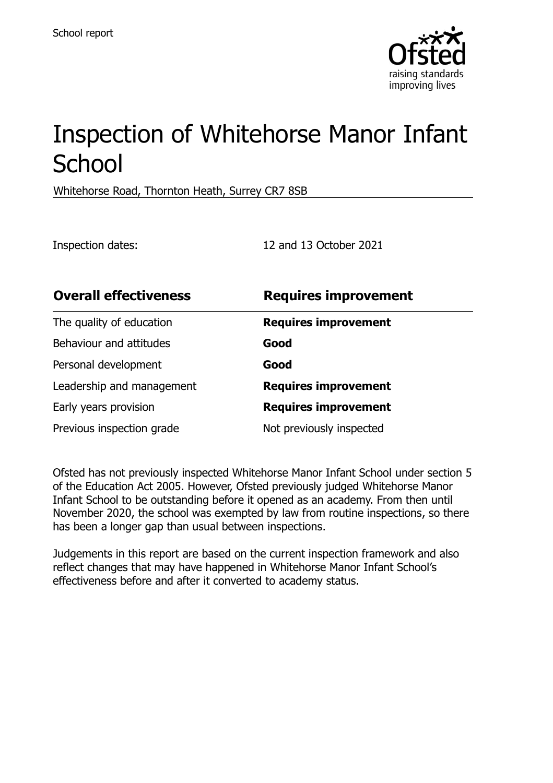

# Inspection of Whitehorse Manor Infant **School**

Whitehorse Road, Thornton Heath, Surrey CR7 8SB

Inspection dates: 12 and 13 October 2021

| <b>Overall effectiveness</b> | <b>Requires improvement</b> |
|------------------------------|-----------------------------|
| The quality of education     | <b>Requires improvement</b> |
| Behaviour and attitudes      | Good                        |
| Personal development         | Good                        |
| Leadership and management    | <b>Requires improvement</b> |
| Early years provision        | <b>Requires improvement</b> |
| Previous inspection grade    | Not previously inspected    |

Ofsted has not previously inspected Whitehorse Manor Infant School under section 5 of the Education Act 2005. However, Ofsted previously judged Whitehorse Manor Infant School to be outstanding before it opened as an academy. From then until November 2020, the school was exempted by law from routine inspections, so there has been a longer gap than usual between inspections.

Judgements in this report are based on the current inspection framework and also reflect changes that may have happened in Whitehorse Manor Infant School's effectiveness before and after it converted to academy status.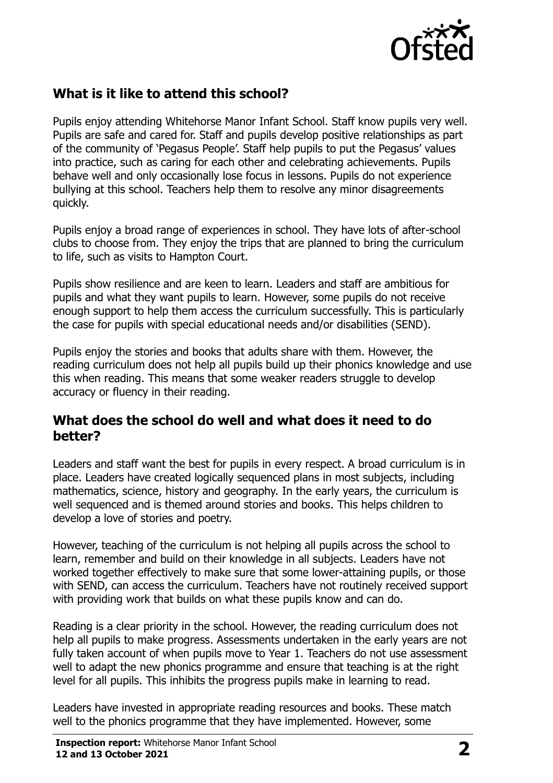

# **What is it like to attend this school?**

Pupils enjoy attending Whitehorse Manor Infant School. Staff know pupils very well. Pupils are safe and cared for. Staff and pupils develop positive relationships as part of the community of 'Pegasus People'. Staff help pupils to put the Pegasus' values into practice, such as caring for each other and celebrating achievements. Pupils behave well and only occasionally lose focus in lessons. Pupils do not experience bullying at this school. Teachers help them to resolve any minor disagreements quickly.

Pupils enjoy a broad range of experiences in school. They have lots of after-school clubs to choose from. They enjoy the trips that are planned to bring the curriculum to life, such as visits to Hampton Court.

Pupils show resilience and are keen to learn. Leaders and staff are ambitious for pupils and what they want pupils to learn. However, some pupils do not receive enough support to help them access the curriculum successfully. This is particularly the case for pupils with special educational needs and/or disabilities (SEND).

Pupils enjoy the stories and books that adults share with them. However, the reading curriculum does not help all pupils build up their phonics knowledge and use this when reading. This means that some weaker readers struggle to develop accuracy or fluency in their reading.

## **What does the school do well and what does it need to do better?**

Leaders and staff want the best for pupils in every respect. A broad curriculum is in place. Leaders have created logically sequenced plans in most subjects, including mathematics, science, history and geography. In the early years, the curriculum is well sequenced and is themed around stories and books. This helps children to develop a love of stories and poetry.

However, teaching of the curriculum is not helping all pupils across the school to learn, remember and build on their knowledge in all subjects. Leaders have not worked together effectively to make sure that some lower-attaining pupils, or those with SEND, can access the curriculum. Teachers have not routinely received support with providing work that builds on what these pupils know and can do.

Reading is a clear priority in the school. However, the reading curriculum does not help all pupils to make progress. Assessments undertaken in the early years are not fully taken account of when pupils move to Year 1. Teachers do not use assessment well to adapt the new phonics programme and ensure that teaching is at the right level for all pupils. This inhibits the progress pupils make in learning to read.

Leaders have invested in appropriate reading resources and books. These match well to the phonics programme that they have implemented. However, some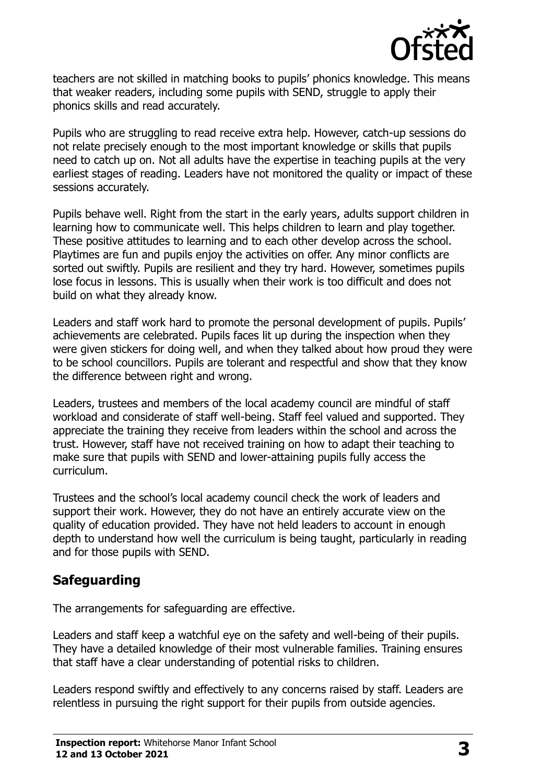

teachers are not skilled in matching books to pupils' phonics knowledge. This means that weaker readers, including some pupils with SEND, struggle to apply their phonics skills and read accurately.

Pupils who are struggling to read receive extra help. However, catch-up sessions do not relate precisely enough to the most important knowledge or skills that pupils need to catch up on. Not all adults have the expertise in teaching pupils at the very earliest stages of reading. Leaders have not monitored the quality or impact of these sessions accurately.

Pupils behave well. Right from the start in the early years, adults support children in learning how to communicate well. This helps children to learn and play together. These positive attitudes to learning and to each other develop across the school. Playtimes are fun and pupils enjoy the activities on offer. Any minor conflicts are sorted out swiftly. Pupils are resilient and they try hard. However, sometimes pupils lose focus in lessons. This is usually when their work is too difficult and does not build on what they already know.

Leaders and staff work hard to promote the personal development of pupils. Pupils' achievements are celebrated. Pupils faces lit up during the inspection when they were given stickers for doing well, and when they talked about how proud they were to be school councillors. Pupils are tolerant and respectful and show that they know the difference between right and wrong.

Leaders, trustees and members of the local academy council are mindful of staff workload and considerate of staff well-being. Staff feel valued and supported. They appreciate the training they receive from leaders within the school and across the trust. However, staff have not received training on how to adapt their teaching to make sure that pupils with SEND and lower-attaining pupils fully access the curriculum.

Trustees and the school's local academy council check the work of leaders and support their work. However, they do not have an entirely accurate view on the quality of education provided. They have not held leaders to account in enough depth to understand how well the curriculum is being taught, particularly in reading and for those pupils with SEND.

## **Safeguarding**

The arrangements for safeguarding are effective.

Leaders and staff keep a watchful eye on the safety and well-being of their pupils. They have a detailed knowledge of their most vulnerable families. Training ensures that staff have a clear understanding of potential risks to children.

Leaders respond swiftly and effectively to any concerns raised by staff. Leaders are relentless in pursuing the right support for their pupils from outside agencies.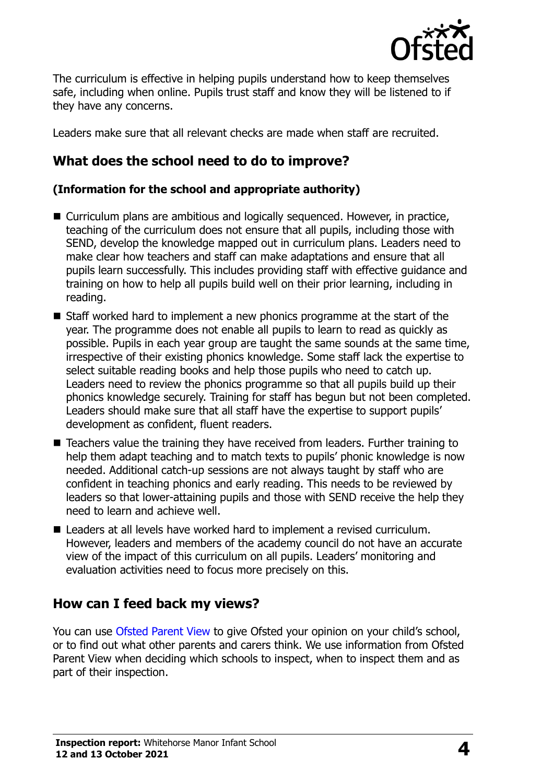

The curriculum is effective in helping pupils understand how to keep themselves safe, including when online. Pupils trust staff and know they will be listened to if they have any concerns.

Leaders make sure that all relevant checks are made when staff are recruited.

## **What does the school need to do to improve?**

#### **(Information for the school and appropriate authority)**

- Curriculum plans are ambitious and logically sequenced. However, in practice, teaching of the curriculum does not ensure that all pupils, including those with SEND, develop the knowledge mapped out in curriculum plans. Leaders need to make clear how teachers and staff can make adaptations and ensure that all pupils learn successfully. This includes providing staff with effective guidance and training on how to help all pupils build well on their prior learning, including in reading.
- Staff worked hard to implement a new phonics programme at the start of the year. The programme does not enable all pupils to learn to read as quickly as possible. Pupils in each year group are taught the same sounds at the same time, irrespective of their existing phonics knowledge. Some staff lack the expertise to select suitable reading books and help those pupils who need to catch up. Leaders need to review the phonics programme so that all pupils build up their phonics knowledge securely. Training for staff has begun but not been completed. Leaders should make sure that all staff have the expertise to support pupils' development as confident, fluent readers.
- Teachers value the training they have received from leaders. Further training to help them adapt teaching and to match texts to pupils' phonic knowledge is now needed. Additional catch-up sessions are not always taught by staff who are confident in teaching phonics and early reading. This needs to be reviewed by leaders so that lower-attaining pupils and those with SEND receive the help they need to learn and achieve well.
- Leaders at all levels have worked hard to implement a revised curriculum. However, leaders and members of the academy council do not have an accurate view of the impact of this curriculum on all pupils. Leaders' monitoring and evaluation activities need to focus more precisely on this.

## **How can I feed back my views?**

You can use [Ofsted Parent View](http://parentview.ofsted.gov.uk/) to give Ofsted your opinion on your child's school, or to find out what other parents and carers think. We use information from Ofsted Parent View when deciding which schools to inspect, when to inspect them and as part of their inspection.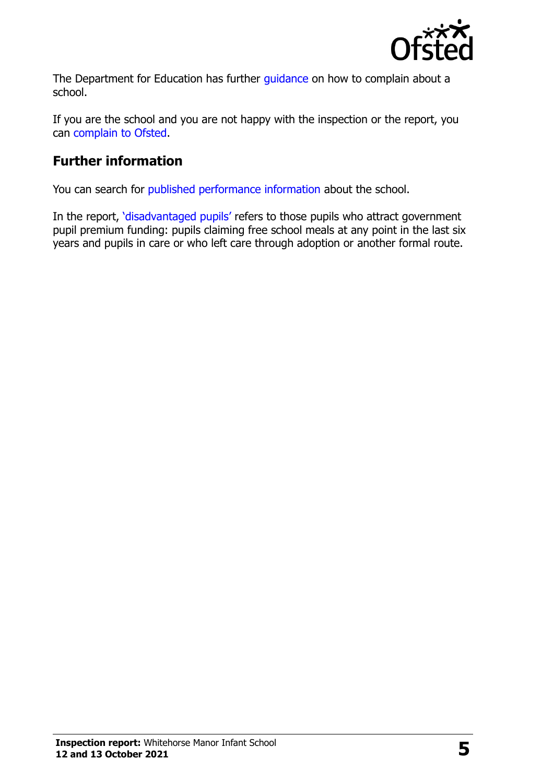

The Department for Education has further quidance on how to complain about a school.

If you are the school and you are not happy with the inspection or the report, you can [complain to Ofsted.](http://www.gov.uk/complain-ofsted-report)

# **Further information**

You can search for [published performance information](http://www.compare-school-performance.service.gov.uk/) about the school.

In the report, '[disadvantaged pupils](http://www.gov.uk/guidance/pupil-premium-information-for-schools-and-alternative-provision-settings)' refers to those pupils who attract government pupil premium funding: pupils claiming free school meals at any point in the last six years and pupils in care or who left care through adoption or another formal route.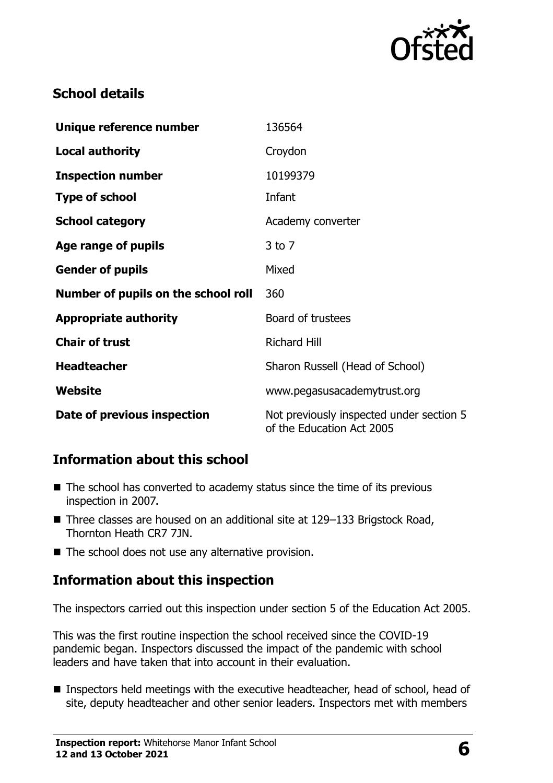

# **School details**

| Unique reference number             | 136564                                                                |
|-------------------------------------|-----------------------------------------------------------------------|
| <b>Local authority</b>              | Croydon                                                               |
| <b>Inspection number</b>            | 10199379                                                              |
| <b>Type of school</b>               | Infant                                                                |
| <b>School category</b>              | Academy converter                                                     |
| Age range of pupils                 | $3$ to $7$                                                            |
| <b>Gender of pupils</b>             | Mixed                                                                 |
| Number of pupils on the school roll | 360                                                                   |
| <b>Appropriate authority</b>        | Board of trustees                                                     |
| <b>Chair of trust</b>               | <b>Richard Hill</b>                                                   |
| <b>Headteacher</b>                  | Sharon Russell (Head of School)                                       |
| Website                             | www.pegasusacademytrust.org                                           |
| Date of previous inspection         | Not previously inspected under section 5<br>of the Education Act 2005 |

## **Information about this school**

- $\blacksquare$  The school has converted to academy status since the time of its previous inspection in 2007.
- Three classes are housed on an additional site at 129-133 Brigstock Road, Thornton Heath CR7 7JN.
- $\blacksquare$  The school does not use any alternative provision.

## **Information about this inspection**

The inspectors carried out this inspection under section 5 of the Education Act 2005.

This was the first routine inspection the school received since the COVID-19 pandemic began. Inspectors discussed the impact of the pandemic with school leaders and have taken that into account in their evaluation.

■ Inspectors held meetings with the executive headteacher, head of school, head of site, deputy headteacher and other senior leaders. Inspectors met with members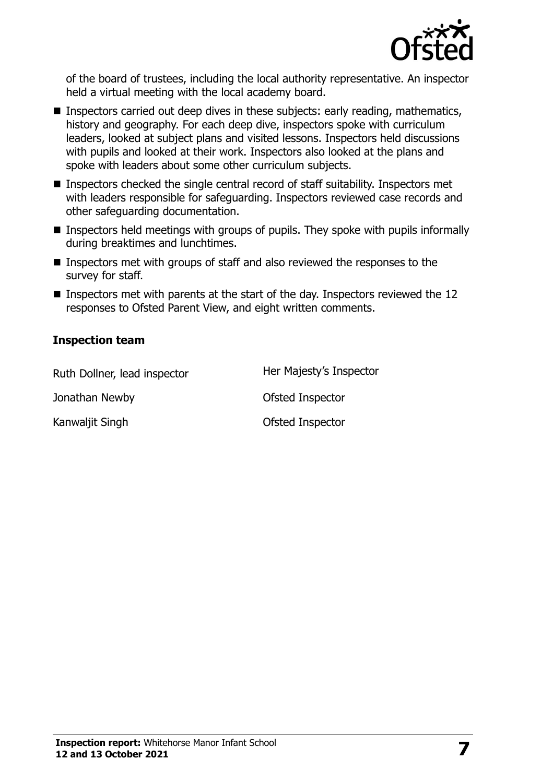

of the board of trustees, including the local authority representative. An inspector held a virtual meeting with the local academy board.

- Inspectors carried out deep dives in these subjects: early reading, mathematics, history and geography. For each deep dive, inspectors spoke with curriculum leaders, looked at subject plans and visited lessons. Inspectors held discussions with pupils and looked at their work. Inspectors also looked at the plans and spoke with leaders about some other curriculum subjects.
- Inspectors checked the single central record of staff suitability. Inspectors met with leaders responsible for safeguarding. Inspectors reviewed case records and other safeguarding documentation.
- **Inspectors held meetings with groups of pupils. They spoke with pupils informally** during breaktimes and lunchtimes.
- Inspectors met with groups of staff and also reviewed the responses to the survey for staff.
- **Inspectors met with parents at the start of the day. Inspectors reviewed the 12** responses to Ofsted Parent View, and eight written comments.

#### **Inspection team**

Ruth Dollner, lead inspector **Her Majesty's Inspector** Jonathan Newby **Constanting Constanting Constanting Constanting Constanting Constanting Constanting Constanting Constanting Constanting Constanting Constanting Constanting Constanting Constanting Constanting Constanting Co** Kanwaljit Singh **Contact Single Contact Contact Contact Contact Contact Contact Contact Contact Contact Contact Contact Contact Contact Contact Contact Contact Contact Contact Contact Contact Contact Contact Contact Contac**